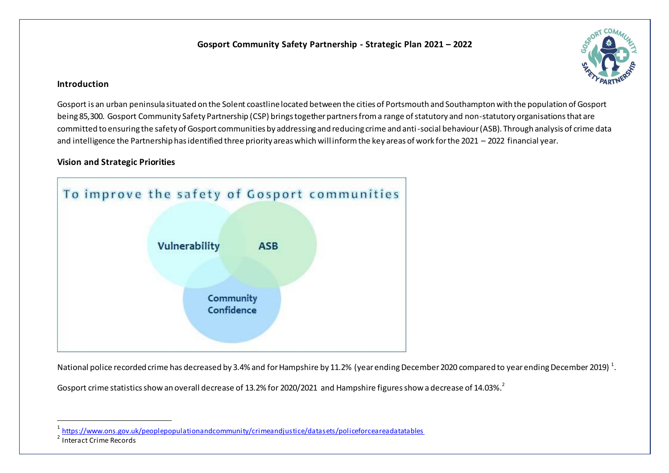# **Gosport Community Safety Partnership - Strategic Plan 2021 – 2022**



## **Introduction**

Gosport is an urban peninsula situated on the Solent coastline located between the cities of Portsmouth and Southampton with the population of Gosport being 85,300. Gosport Community Safety Partnership (CSP) brings together partners from a range of statutory and non-statutory organisations that are committed to ensuring the safety of Gosport communities by addressing and reducing crime and anti-social behaviour (ASB). Through analysis of crime data and intelligence the Partnership has identified three priority areas which willinform the key areas of work for the 2021 – 2022 financial year.

## **Vision and Strategic Priorities**



National police recorded crime has decreased by 3.4% and for Hampshire by 11.2% (year ending December 2020 compared to year ending December 2019)  $^{\rm 1}.$ 

Gosport crime statistics show an overall decrease of 13.2% for 2020/2021 and Hampshire figures show a decrease of 14.03%.<sup>2</sup>

 $\overline{a}$ 

<sup>1</sup> <https://www.ons.gov.uk/peoplepopulationandcommunity/crimeandjustice/datasets/policeforceareadatatables>

<sup>&</sup>lt;sup>2</sup> Interact Crime Records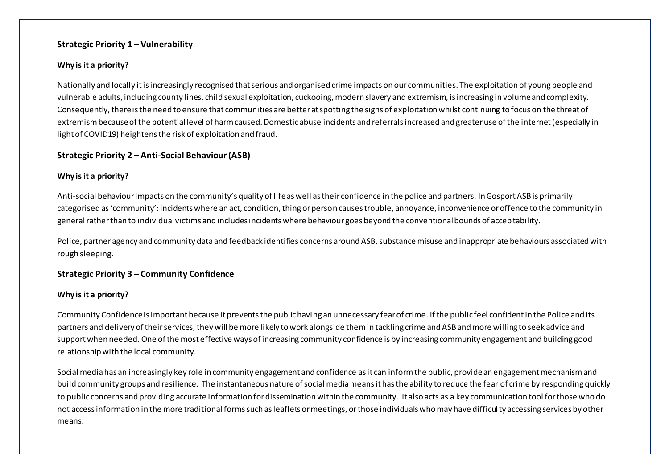#### **Strategic Priority 1 – Vulnerability**

#### **Why is it a priority?**

Nationally and locally it is increasingly recognised that serious and organised crime impacts on our communities. The exploitation of young people and vulnerable adults, including county lines, child sexual exploitation, cuckooing, modern slavery and extremism, is increasing in volume and complexity. Consequently, there is the need to ensure that communities are better at spotting the signs of exploitation whilst continuing to focus on the threat of extremism because of the potential level of harm caused. Domestic abuse incidents and referrals increased and greater use of the internet (especially in light of COVID19) heightens the risk of exploitation and fraud.

### **Strategic Priority 2 – Anti-Social Behaviour(ASB)**

#### **Why is it a priority?**

Anti-social behaviour impacts on the community's quality of life as well as their confidence in the police and partners. In Gosport ASB is primarily categorised as 'community': incidents where an act, condition, thing or person causes trouble, annoyance, inconvenience or offence to the community in general rather than to individual victims and includes incidents where behaviour goes beyond the conventional bounds of acceptability.

Police, partner agency and community data and feedback identifies concerns around ASB, substance misuse and inappropriate behaviours associated with rough sleeping.

#### **Strategic Priority 3 – Community Confidence**

#### **Why is it a priority?**

Community Confidence is important because it prevents the public having an unnecessary fear of crime. If the public feel confident in the Police and its partners and delivery of their services, they will be more likely to work alongside them in tackling crime and ASB and more willing to seek advice and support when needed. One of the most effective ways of increasing community confidence is by increasing community engagement and building good relationship with the local community.

Social media has an increasingly key role in community engagement and confidence as it can inform the public, provide an engagement mechanism and build community groups and resilience. The instantaneous nature of social media means it has the ability to reduce the fear of crime by responding quickly to public concerns and providing accurate information for dissemination within the community. It also acts as a key communication tool for those who do not access information in the more traditional forms such as leaflets or meetings, or those individuals who may have difficulty accessing services by other means.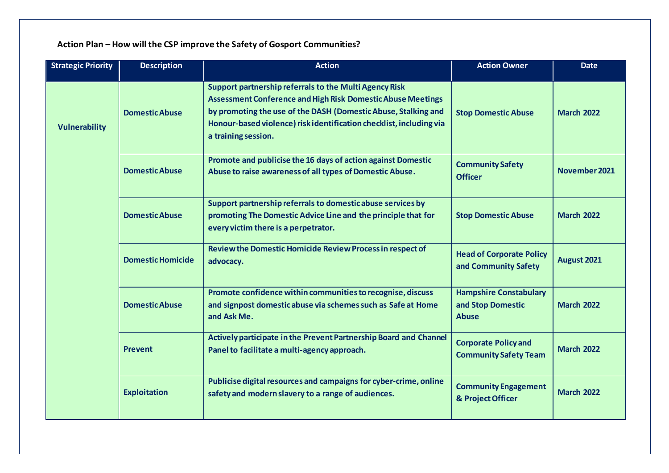| <b>Strategic Priority</b> | <b>Description</b>       | <b>Action</b>                                                                                                                                                                                                                                                                                | <b>Action Owner</b>                                                | <b>Date</b>       |
|---------------------------|--------------------------|----------------------------------------------------------------------------------------------------------------------------------------------------------------------------------------------------------------------------------------------------------------------------------------------|--------------------------------------------------------------------|-------------------|
| <b>Vulnerability</b>      | <b>Domestic Abuse</b>    | Support partnership referrals to the Multi Agency Risk<br><b>Assessment Conference and High Risk Domestic Abuse Meetings</b><br>by promoting the use of the DASH (Domestic Abuse, Stalking and<br>Honour-based violence) risk identification checklist, including via<br>a training session. | <b>Stop Domestic Abuse</b>                                         | <b>March 2022</b> |
|                           | <b>Domestic Abuse</b>    | Promote and publicise the 16 days of action against Domestic<br>Abuse to raise awareness of all types of Domestic Abuse.                                                                                                                                                                     | <b>Community Safety</b><br><b>Officer</b>                          | November 2021     |
|                           | <b>Domestic Abuse</b>    | Support partnership referrals to domestic abuse services by<br>promoting The Domestic Advice Line and the principle that for<br>every victim there is a perpetrator.                                                                                                                         | <b>Stop Domestic Abuse</b>                                         | <b>March 2022</b> |
|                           | <b>Domestic Homicide</b> | Review the Domestic Homicide Review Process in respect of<br>advocacy.                                                                                                                                                                                                                       | <b>Head of Corporate Policy</b><br>and Community Safety            | August 2021       |
|                           | <b>Domestic Abuse</b>    | Promote confidence within communities to recognise, discuss<br>and signpost domestic abuse via schemes such as Safe at Home<br>and Ask Me.                                                                                                                                                   | <b>Hampshire Constabulary</b><br>and Stop Domestic<br><b>Abuse</b> | <b>March 2022</b> |
|                           | <b>Prevent</b>           | Actively participate in the Prevent Partnership Board and Channel<br>Panel to facilitate a multi-agency approach.                                                                                                                                                                            | <b>Corporate Policy and</b><br><b>Community Safety Team</b>        | <b>March 2022</b> |
|                           | <b>Exploitation</b>      | Publicise digital resources and campaigns for cyber-crime, online<br>safety and modern slavery to a range of audiences.                                                                                                                                                                      | <b>Community Engagement</b><br>& Project Officer                   | <b>March 2022</b> |

# **Action Plan – How will the CSP improve the Safety of Gosport Communities?**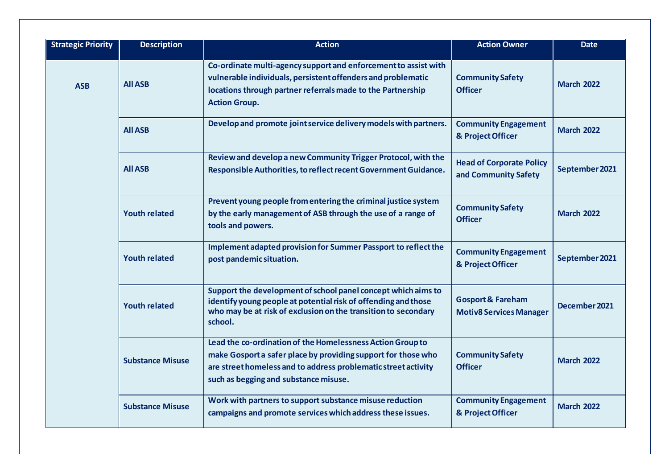| <b>Strategic Priority</b> | <b>Description</b>      | <b>Action</b>                                                                                                                                                                                                                          | <b>Action Owner</b>                                            | <b>Date</b>       |
|---------------------------|-------------------------|----------------------------------------------------------------------------------------------------------------------------------------------------------------------------------------------------------------------------------------|----------------------------------------------------------------|-------------------|
| <b>ASB</b>                | <b>All ASB</b>          | Co-ordinate multi-agency support and enforcement to assist with<br>vulnerable individuals, persistent offenders and problematic<br>locations through partner referrals made to the Partnership<br><b>Action Group.</b>                 | <b>Community Safety</b><br><b>Officer</b>                      | <b>March 2022</b> |
|                           | <b>All ASB</b>          | Develop and promote joint service delivery models with partners.                                                                                                                                                                       | <b>Community Engagement</b><br>& Project Officer               | <b>March 2022</b> |
|                           | <b>All ASB</b>          | Review and develop a new Community Trigger Protocol, with the<br>Responsible Authorities, to reflect recent Government Guidance.                                                                                                       | <b>Head of Corporate Policy</b><br>and Community Safety        | September 2021    |
|                           | <b>Youth related</b>    | Prevent young people from entering the criminal justice system<br>by the early management of ASB through the use of a range of<br>tools and powers.                                                                                    | <b>Community Safety</b><br><b>Officer</b>                      | <b>March 2022</b> |
|                           | <b>Youth related</b>    | Implement adapted provision for Summer Passport to reflect the<br>post pandemic situation.                                                                                                                                             | <b>Community Engagement</b><br>& Project Officer               | September 2021    |
|                           | <b>Youth related</b>    | Support the development of school panel concept which aims to<br>identify young people at potential risk of offending and those<br>who may be at risk of exclusion on the transition to secondary<br>school.                           | <b>Gosport &amp; Fareham</b><br><b>Motiv8 Services Manager</b> | December 2021     |
|                           | <b>Substance Misuse</b> | Lead the co-ordination of the Homelessness Action Group to<br>make Gosport a safer place by providing support for those who<br>are street homeless and to address problematic street activity<br>such as begging and substance misuse. | <b>Community Safety</b><br><b>Officer</b>                      | <b>March 2022</b> |
|                           | <b>Substance Misuse</b> | Work with partners to support substance misuse reduction<br>campaigns and promote services which address these issues.                                                                                                                 | <b>Community Engagement</b><br>& Project Officer               | <b>March 2022</b> |